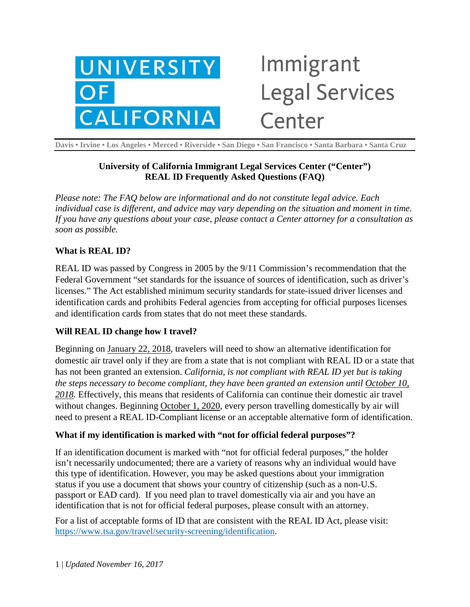

# Immigrant **Legal Services** Center

**Davis • Irvine • Los Angeles • Merced • Riverside • San Diego • San Francisco • Santa Barbara • Santa Cruz**

## **University of California Immigrant Legal Services Center ("Center") REAL ID Frequently Asked Questions (FAQ)**

*Please note: The FAQ below are informational and do not constitute legal advice. Each individual case is different, and advice may vary depending on the situation and moment in time. If you have any questions about your case, please contact a Center attorney for a consultation as soon as possible.*

## **What is REAL ID?**

REAL ID was passed by Congress in 2005 by the 9/11 Commission's recommendation that the Federal Government "set standards for the issuance of sources of identification, such as driver's licenses." The Act established minimum security standards for state-issued driver licenses and identification cards and prohibits Federal agencies from accepting for official purposes licenses and identification cards from states that do not meet these standards.

#### **Will REAL ID change how I travel?**

Beginning on January 22, 2018, travelers will need to show an alternative identification for domestic air travel only if they are from a state that is not compliant with REAL ID or a state that has not been granted an extension. *California, is not compliant with REAL ID yet but is taking the steps necessary to become compliant, they have been granted an extension until October 10, 2018.* Effectively, this means that residents of California can continue their domestic air travel without changes. Beginning October 1, 2020, every person travelling domestically by air will need to present a REAL ID-Compliant license or an acceptable alternative form of identification.

## **What if my identification is marked with "not for official federal purposes"?**

If an identification document is marked with "not for official federal purposes," the holder isn't necessarily undocumented; there are a variety of reasons why an individual would have this type of identification. However, you may be asked questions about your immigration status if you use a document that shows your country of citizenship (such as a non-U.S. passport or EAD card). If you need plan to travel domestically via air and you have an identification that is not for official federal purposes, please consult with an attorney.

For a list of acceptable forms of ID that are consistent with the REAL ID Act, please visit: [https://www.tsa.gov/travel/security-screening/identification.](https://www.tsa.gov/travel/security-screening/identification)